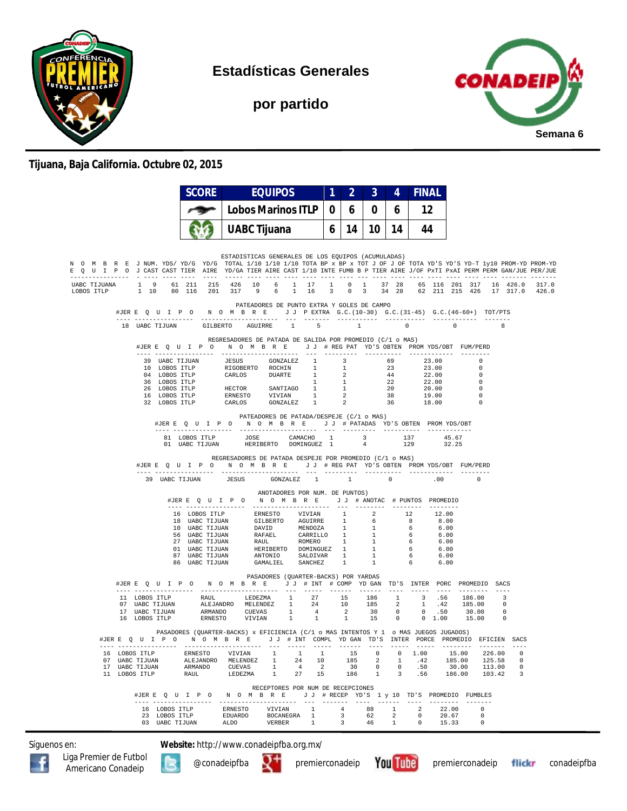

**Estadísticas Generales**

**por partido**



## **Tijuana, Baja California. Octubre 02, 2015**

|            |                                     | <b>SCORE</b>                | <b>EQUIPOS</b>                                                                                                                                                                                                                                                                                                                                            |                             | 2               | 3                        | 4             | <b>FINAL</b>  |                                                                                                                                                                                                                                                                                                                                    |                        |               |
|------------|-------------------------------------|-----------------------------|-----------------------------------------------------------------------------------------------------------------------------------------------------------------------------------------------------------------------------------------------------------------------------------------------------------------------------------------------------------|-----------------------------|-----------------|--------------------------|---------------|---------------|------------------------------------------------------------------------------------------------------------------------------------------------------------------------------------------------------------------------------------------------------------------------------------------------------------------------------------|------------------------|---------------|
|            |                                     |                             | <b>Lobos Marinos ITLP</b>                                                                                                                                                                                                                                                                                                                                 | $\bf{0}$                    | 6               | 0                        | 6             | 12            |                                                                                                                                                                                                                                                                                                                                    |                        |               |
|            |                                     |                             | <b>UABC Tijuana</b>                                                                                                                                                                                                                                                                                                                                       | 6                           | 14 <sup>1</sup> | 10 I                     | 14 I          | 44            |                                                                                                                                                                                                                                                                                                                                    |                        |               |
|            |                                     |                             |                                                                                                                                                                                                                                                                                                                                                           |                             |                 |                          |               |               |                                                                                                                                                                                                                                                                                                                                    |                        |               |
|            |                                     |                             | ESTADISTICAS GENERALES DE LOS EQUIPOS (ACUMULADAS)<br>N O M B R E J NUM. YDS/YD/G YD/G TOTAL 1/10 1/10 1/10 TOTA BP x BP x TOT J OF J OF TOTA YD'S YD-T 1y10 PROM-YD PROM-YD<br>E O U I P O J CAST CAST TIER AIRE YD/GA TIER AIRE CAST 1/10 INTE FUMB B P TIER AIRE J/OF PXTI PXAI PERM PERM GAN/JUE PER/JUE                                              |                             |                 |                          |               |               |                                                                                                                                                                                                                                                                                                                                    |                        |               |
| LOBOS ITLP |                                     |                             | UABC TIJUANA 1 9 61 211 215 426 10 6 1 17 1 0 1 37 28 65 116 201 317 16 426.0 317.0<br>1 10 80 116 201 317 9 6 1 16 3 0 3 34 28 62 211 215 426 17 317.0 426.0                                                                                                                                                                                             |                             |                 |                          |               |               |                                                                                                                                                                                                                                                                                                                                    |                        |               |
|            |                                     |                             | PATEADORES DE PUNTO EXTRA Y GOLES DE CAMPO<br>#JERE Q U I P O N O M B R E J J PEXTRA G.C. (10-30) G.C. (31-45) G.C. (46-60+) TOT/PTS                                                                                                                                                                                                                      |                             |                 |                          |               |               |                                                                                                                                                                                                                                                                                                                                    |                        |               |
|            |                                     |                             | 18 UABC TIJUAN GILBERTO AGUIRRE 1                                                                                                                                                                                                                                                                                                                         | $-5$                        |                 | 1                        |               | $\circ$       | $\overline{0}$ and $\overline{0}$ and $\overline{0}$ and $\overline{0}$ and $\overline{0}$ and $\overline{0}$ and $\overline{0}$ and $\overline{0}$ and $\overline{0}$ and $\overline{0}$ and $\overline{0}$ and $\overline{0}$ and $\overline{0}$ and $\overline{0}$ and $\overline{0}$ and $\overline{0}$ and $\overline{0}$ and | 8                      |               |
|            |                                     |                             | REGRESADORES DE PATADA DE SALIDA POR PROMEDIO (C/1 o MAS)<br>#JERE Q U I P O N O M B R E J J # REG PAT YD'S OBTEN PROMYDS/OBT FUM/PERD                                                                                                                                                                                                                    |                             |                 |                          |               |               |                                                                                                                                                                                                                                                                                                                                    |                        |               |
|            |                                     |                             | 39 UABC TIJUAN JESUS GONZALEZ 1 3 69 23.00<br>10 LOBOS ITLP RIGOBERTO ROCHIN 1 1 23 23.00<br>10 LOBOS ITLP CARLOS DUARTE 1 2 44 22.00<br>26 LOBOS ITLP CARLOS DUARTE 1 2 44 22.00<br>26 LOBOS ITLP HECTOR SANTIAGO 1 1 22 22.00<br>16 LO                                                                                                                  |                             |                 |                          |               |               | 23.00                                                                                                                                                                                                                                                                                                                              | 0<br>$\Omega$          |               |
|            |                                     |                             |                                                                                                                                                                                                                                                                                                                                                           |                             |                 |                          |               |               |                                                                                                                                                                                                                                                                                                                                    | $\Omega$<br>0          |               |
|            |                                     |                             |                                                                                                                                                                                                                                                                                                                                                           |                             |                 |                          |               |               |                                                                                                                                                                                                                                                                                                                                    | $\Omega$               |               |
|            |                                     |                             |                                                                                                                                                                                                                                                                                                                                                           |                             |                 |                          |               |               |                                                                                                                                                                                                                                                                                                                                    | $^{\circ}$<br>$\Omega$ |               |
|            |                                     |                             | PATEADORES DE PATADA/DESPEJE (C/1 o MAS)<br>#JERE QUIPO NOMBRE JJ # PATADAS YD'S OBTEN PROMYDS/OBT                                                                                                                                                                                                                                                        |                             |                 |                          |               |               |                                                                                                                                                                                                                                                                                                                                    |                        |               |
|            |                                     | 81 LOBOS ITLP               | JOSE                                                                                                                                                                                                                                                                                                                                                      | CAMACHO 1                   |                 | $\overline{\phantom{a}}$ |               | 137           | 45.67                                                                                                                                                                                                                                                                                                                              |                        |               |
|            |                                     | 01 UABC TIJUAN              | HERIBERTO DOMINGUEZ 1                                                                                                                                                                                                                                                                                                                                     |                             |                 | $\frac{3}{4}$            |               | 129           | 32 25                                                                                                                                                                                                                                                                                                                              |                        |               |
|            |                                     |                             | REGRESADORES DE PATADA DESPEJE POR PROMEDIO (C/1 o MAS)<br>#JERE QUIPO NOMBRE JJ #REGPAT YD'S OBTEN PROMYDS/OBT FUM/PERD                                                                                                                                                                                                                                  |                             |                 |                          |               |               |                                                                                                                                                                                                                                                                                                                                    |                        |               |
|            |                                     | 39 UABC TIJUAN JESUS        | $GONZALEZ$ 1 1                                                                                                                                                                                                                                                                                                                                            |                             |                 |                          | $\sim$ 0      |               | .00                                                                                                                                                                                                                                                                                                                                | $\Omega$               |               |
|            |                                     |                             | ANOTADORES POR NUM. DE PUNTOS)<br>#JERE Q U I P O N O M B R E J J # ANOTAC # PUNTOS PROMEDIO                                                                                                                                                                                                                                                              |                             |                 |                          |               |               |                                                                                                                                                                                                                                                                                                                                    |                        |               |
|            |                                     |                             |                                                                                                                                                                                                                                                                                                                                                           |                             |                 |                          |               | 12 12.00      |                                                                                                                                                                                                                                                                                                                                    |                        |               |
|            |                                     |                             |                                                                                                                                                                                                                                                                                                                                                           |                             |                 |                          |               |               | 8.00<br>6.00                                                                                                                                                                                                                                                                                                                       |                        |               |
|            |                                     |                             |                                                                                                                                                                                                                                                                                                                                                           |                             |                 |                          |               |               | 6.00<br>6.00                                                                                                                                                                                                                                                                                                                       |                        |               |
|            |                                     |                             |                                                                                                                                                                                                                                                                                                                                                           |                             |                 |                          |               |               | 6.00                                                                                                                                                                                                                                                                                                                               |                        |               |
|            |                                     |                             | 16 LOBOS TELP PENESTO VIVIAN 1 2 12<br>16 LOBOS TELP PENESTO VIVIAN 1 2 12<br>18 UABC TIJUAN DAVID MENDOZA 1 6 6<br>56 UABC TIJUAN DAVID MENDOZA 1 1 6<br>57 UABC TIJUAN RAPAEL CARRILLO 1 1 6<br>27 UABC TIJUAN REVILL ROMERO 1 1 6<br>67                                                                                                                |                             |                 |                          |               |               | 6.00<br>6.00                                                                                                                                                                                                                                                                                                                       |                        |               |
|            |                                     |                             | PASADORES (QUARTER-BACKS) POR YARDAS                                                                                                                                                                                                                                                                                                                      |                             |                 |                          |               |               |                                                                                                                                                                                                                                                                                                                                    |                        |               |
|            |                                     |                             | #JERE QUIPONOMBRE JJ # INT # COMPYDGAN TD'S INTER PORC PROMEDIO SACS                                                                                                                                                                                                                                                                                      |                             |                 |                          |               |               |                                                                                                                                                                                                                                                                                                                                    |                        |               |
|            |                                     |                             | $\begin{tabular}{cccccccc} 11 & LOBOS ITLP & RAUL & LEDEZMA & 1 & 27 & 15 & 186 & 1 & 3 & .56 & 186.00 & 3 \\ 07 & UABC ITJUAN & ALEJANDRO & MELENDEZ & 1 & 24 & 10 & 185 & 2 & 1 & .42 & 185.00 & 0 \\ 17 & UABC ITJUAN & ARMANDO & CUEVAS & 1 & 4 & 2 & 30 & 0 & 0.50 & 30.00 & 0 \\ 16 & LOBOS ITLP & RENESTO & VIVIAN & 1 & 1 & 1 & 15 & 0 & 0 & 1.0$ |                             |                 |                          |               |               |                                                                                                                                                                                                                                                                                                                                    |                        |               |
|            |                                     |                             |                                                                                                                                                                                                                                                                                                                                                           |                             |                 |                          |               |               |                                                                                                                                                                                                                                                                                                                                    |                        |               |
|            |                                     |                             |                                                                                                                                                                                                                                                                                                                                                           |                             |                 |                          |               |               |                                                                                                                                                                                                                                                                                                                                    |                        |               |
|            |                                     |                             | PASADORES (QUARTER-BACKS) x EFICIENCIA (C/1 o MAS INTENTOS Y 1 o MAS JUEGOS JUGADOS)<br>#JER E Q U I P Q M Q M B R E G J J # INT COMPL YD GAN TD'S INTER PORCE PROMEDIO EFICIEN SACS                                                                                                                                                                      |                             |                 |                          |               |               |                                                                                                                                                                                                                                                                                                                                    |                        |               |
| 07         | 16 LOBOS ITLP<br><b>UABC TIJUAN</b> | <b>ERNESTO</b><br>ALEJANDRO | VIVIAN<br>$\mathbf{1}$<br>$\overline{1}$<br>MELENDEZ<br>1<br>24                                                                                                                                                                                                                                                                                           | 1<br>10                     | 15<br>185       | $\Omega$<br>2            | 0<br>1        | 1.00<br>.42   | 15.00<br>185.00                                                                                                                                                                                                                                                                                                                    | 226.00<br>125.58       | $\Omega$<br>0 |
| 17<br>11   | <b>UABC TIJUAN</b><br>LOBOS ITLP    | ARMANDO<br>RAUL             | CUEVAS<br>4<br>-1.<br>27<br>LEDEZMA<br>1                                                                                                                                                                                                                                                                                                                  | 2<br>15                     | 30<br>186       | 0<br>1                   | 0<br>3        | .50<br>.56    | 30.00<br>186.00                                                                                                                                                                                                                                                                                                                    | 113.00<br>103.42       | 0<br>3        |
|            | #JERE Q U I P O                     |                             | RECEPTORES POR NUM DE RECEPCIONES<br>N O M B R E<br>--------------------<br>$- - -$                                                                                                                                                                                                                                                                       | J J # RECEP YD'S<br>------- |                 | $- - - - -$              | $- - - - - -$ |               | 1 y 10 TD'S PROMEDIO FUMBLES                                                                                                                                                                                                                                                                                                       | $- - - - - - -$        |               |
|            | 16 LOBOS ITLP                       |                             | ERNESTO<br>VIVIAN                                                                                                                                                                                                                                                                                                                                         | -1                          | 4               | 88                       | 1             | 2             | 22.00                                                                                                                                                                                                                                                                                                                              | $\circ$                |               |
|            |                                     |                             |                                                                                                                                                                                                                                                                                                                                                           |                             |                 |                          |               |               | 20.67                                                                                                                                                                                                                                                                                                                              | 0                      |               |
|            | 23<br>LOBOS ITLP<br>03 UABC TIJUAN  |                             | BOCANEGRA<br>EDUARDO<br>ALDO<br>VERBER                                                                                                                                                                                                                                                                                                                    | $\overline{1}$<br>1         | 3<br>3          | 62<br>46                 | 2<br>1        | 0<br>$\Omega$ | 15.33                                                                                                                                                                                                                                                                                                                              | 0                      |               |







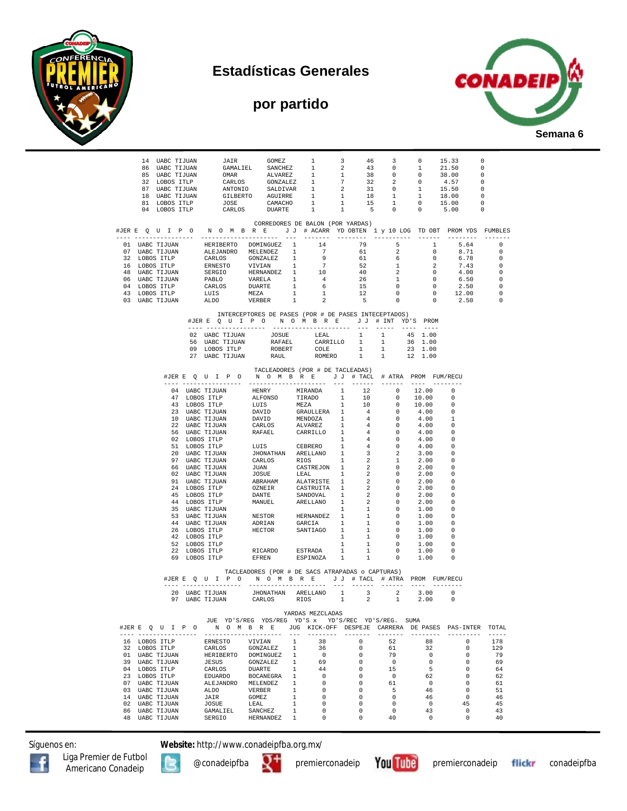







|  |                                          |                                |                |           |                              |                              |                  |                                |                                  |                                                                                                                                                                                                                                                                     |                                                                                                                                                                                          | $\begin{tabular}{cccccccc} 14 & UABC TIJUAN & JAIR & GOMEZ & 1 & 3 & 46 & 3 & 0 & 15.33 & 0 \\ 86 & UABC TIJUAN & GAMALIEL & SANCHEZ & 1 & 2 & 43 & 0 & 1 & 21.50 & 0 \\ 85 & UAC TIJUAN & OMAR & AIVAREZ & 1 & 1 & 38 & 0 & 0 & 38.00 & 0 \\ 32 & LOBOS TTLP & CARCLOS & GONZALEZ & 1 & 7 & 32 & 2 & 0 & 4.57 & 0 \\ 37 & UABC TIJUAN & ANTONIO & SALDIVAR & 1 & 2 & $ |                   |
|--|------------------------------------------|--------------------------------|----------------|-----------|------------------------------|------------------------------|------------------|--------------------------------|----------------------------------|---------------------------------------------------------------------------------------------------------------------------------------------------------------------------------------------------------------------------------------------------------------------|------------------------------------------------------------------------------------------------------------------------------------------------------------------------------------------|-------------------------------------------------------------------------------------------------------------------------------------------------------------------------------------------------------------------------------------------------------------------------------------------------------------------------------------------------------------------------|-------------------|
|  |                                          |                                |                |           |                              |                              |                  |                                | CORREDORES DE BALON (POR YARDAS) |                                                                                                                                                                                                                                                                     |                                                                                                                                                                                          | #JERE QUIPO NOMBRE JJ # ACARR YD OBTEN 1 y 10 LOG TD OBT PROMYDS FUMBLES                                                                                                                                                                                                                                                                                                |                   |
|  |                                          |                                |                |           |                              |                              |                  |                                |                                  |                                                                                                                                                                                                                                                                     |                                                                                                                                                                                          | ---------<br>01 UABC TIJUAN HERIBERTO DOMINGUEZ 1 14 79 5<br>07 UABC TIJUAN ALEJANDRO MELENDEZ 1 7 61 2 0 8.71 0<br>12 LOBOS TTLP CARLOS GONZALEZ 1 9 61 6 0 6.78 0<br>16 LOBOS TTLP ERNESTO VIVIAN 1 7 52 1 2 7.43 0<br>48 UABC TIJUAN SERGIO HERN                                                                                                                     | $- - - - - - - -$ |
|  |                                          |                                |                |           |                              |                              |                  |                                |                                  |                                                                                                                                                                                                                                                                     |                                                                                                                                                                                          |                                                                                                                                                                                                                                                                                                                                                                         |                   |
|  |                                          |                                |                |           |                              |                              |                  |                                |                                  |                                                                                                                                                                                                                                                                     |                                                                                                                                                                                          |                                                                                                                                                                                                                                                                                                                                                                         |                   |
|  |                                          |                                |                |           |                              |                              |                  |                                |                                  |                                                                                                                                                                                                                                                                     |                                                                                                                                                                                          |                                                                                                                                                                                                                                                                                                                                                                         |                   |
|  |                                          |                                |                |           |                              |                              |                  |                                |                                  |                                                                                                                                                                                                                                                                     |                                                                                                                                                                                          |                                                                                                                                                                                                                                                                                                                                                                         |                   |
|  |                                          |                                |                |           |                              |                              |                  |                                |                                  |                                                                                                                                                                                                                                                                     |                                                                                                                                                                                          |                                                                                                                                                                                                                                                                                                                                                                         |                   |
|  |                                          |                                |                |           |                              |                              |                  |                                |                                  |                                                                                                                                                                                                                                                                     |                                                                                                                                                                                          |                                                                                                                                                                                                                                                                                                                                                                         |                   |
|  |                                          |                                |                |           |                              |                              |                  |                                |                                  |                                                                                                                                                                                                                                                                     |                                                                                                                                                                                          |                                                                                                                                                                                                                                                                                                                                                                         |                   |
|  |                                          |                                |                |           |                              |                              |                  |                                |                                  | INTERCEPTORES DE PASES (POR # DE PASES INTECEPTADOS)                                                                                                                                                                                                                | #JERE QUIPO NOMBRE JJ # INT YD'S PROM                                                                                                                                                    |                                                                                                                                                                                                                                                                                                                                                                         |                   |
|  |                                          |                                |                |           |                              |                              |                  |                                |                                  |                                                                                                                                                                                                                                                                     |                                                                                                                                                                                          |                                                                                                                                                                                                                                                                                                                                                                         |                   |
|  |                                          |                                |                |           |                              |                              |                  |                                |                                  |                                                                                                                                                                                                                                                                     |                                                                                                                                                                                          |                                                                                                                                                                                                                                                                                                                                                                         |                   |
|  |                                          |                                |                |           |                              |                              |                  |                                |                                  | 02 UABC TIJUAN 1990<br>103 UABC TIJUAN RAFAEL CARRILLO 1 1 36 1.00<br>109 LOBOS ITLP ROBERT COLE 1 1 23 1.00<br>27 UABC TIJUAN RAUL ROMERO 1 1 1 23 1.00                                                                                                            |                                                                                                                                                                                          |                                                                                                                                                                                                                                                                                                                                                                         |                   |
|  |                                          |                                |                |           |                              |                              |                  |                                |                                  |                                                                                                                                                                                                                                                                     |                                                                                                                                                                                          |                                                                                                                                                                                                                                                                                                                                                                         |                   |
|  |                                          |                                |                |           |                              |                              |                  |                                | TACLEADORES (POR # DE TACLEADAS) |                                                                                                                                                                                                                                                                     | #JERE QUIPO NOMBRE JJ # TACL # ATRA PROM FUM/RECU                                                                                                                                        |                                                                                                                                                                                                                                                                                                                                                                         |                   |
|  |                                          |                                |                |           |                              |                              |                  |                                |                                  |                                                                                                                                                                                                                                                                     |                                                                                                                                                                                          |                                                                                                                                                                                                                                                                                                                                                                         |                   |
|  |                                          |                                |                |           |                              |                              |                  |                                |                                  |                                                                                                                                                                                                                                                                     |                                                                                                                                                                                          | $\overline{\phantom{0}}$                                                                                                                                                                                                                                                                                                                                                |                   |
|  |                                          |                                |                |           |                              |                              |                  |                                |                                  |                                                                                                                                                                                                                                                                     |                                                                                                                                                                                          | $\Omega$<br>$\Omega$                                                                                                                                                                                                                                                                                                                                                    |                   |
|  |                                          |                                |                |           |                              |                              |                  |                                |                                  |                                                                                                                                                                                                                                                                     |                                                                                                                                                                                          | - 0                                                                                                                                                                                                                                                                                                                                                                     |                   |
|  |                                          |                                |                |           |                              |                              |                  |                                |                                  |                                                                                                                                                                                                                                                                     |                                                                                                                                                                                          | $\overline{1}$                                                                                                                                                                                                                                                                                                                                                          |                   |
|  |                                          |                                |                |           |                              |                              |                  |                                |                                  |                                                                                                                                                                                                                                                                     |                                                                                                                                                                                          | $\overline{\phantom{0}}$                                                                                                                                                                                                                                                                                                                                                |                   |
|  |                                          |                                |                |           |                              |                              |                  |                                |                                  |                                                                                                                                                                                                                                                                     |                                                                                                                                                                                          | - 0<br>$\overline{\phantom{0}}$                                                                                                                                                                                                                                                                                                                                         |                   |
|  |                                          |                                |                |           |                              |                              |                  |                                |                                  |                                                                                                                                                                                                                                                                     |                                                                                                                                                                                          | _ი                                                                                                                                                                                                                                                                                                                                                                      |                   |
|  |                                          |                                |                |           |                              |                              |                  |                                |                                  |                                                                                                                                                                                                                                                                     |                                                                                                                                                                                          | $\overline{\phantom{0}}$                                                                                                                                                                                                                                                                                                                                                |                   |
|  |                                          |                                |                |           |                              |                              |                  |                                |                                  |                                                                                                                                                                                                                                                                     |                                                                                                                                                                                          | - 0<br>$\overline{\phantom{0}}$                                                                                                                                                                                                                                                                                                                                         |                   |
|  |                                          |                                |                |           |                              |                              |                  |                                |                                  |                                                                                                                                                                                                                                                                     |                                                                                                                                                                                          | $\overline{\phantom{0}}$                                                                                                                                                                                                                                                                                                                                                |                   |
|  |                                          |                                |                |           |                              |                              |                  |                                |                                  |                                                                                                                                                                                                                                                                     |                                                                                                                                                                                          | 0                                                                                                                                                                                                                                                                                                                                                                       |                   |
|  |                                          |                                |                |           |                              |                              |                  |                                |                                  |                                                                                                                                                                                                                                                                     |                                                                                                                                                                                          | _ი                                                                                                                                                                                                                                                                                                                                                                      |                   |
|  |                                          |                                |                |           |                              |                              |                  |                                |                                  |                                                                                                                                                                                                                                                                     |                                                                                                                                                                                          | 0<br>$\overline{\phantom{0}}$                                                                                                                                                                                                                                                                                                                                           |                   |
|  |                                          |                                |                |           |                              |                              |                  |                                |                                  |                                                                                                                                                                                                                                                                     |                                                                                                                                                                                          | - 0                                                                                                                                                                                                                                                                                                                                                                     |                   |
|  |                                          | 53 UABC TIJUAN                 |                |           |                              |                              |                  |                                |                                  | $\begin{tabular}{lllllllllll} & & & & & 1 & & 1 & & 0 \\ \texttt{NESTOR} & & & & & & & 1 & & 1 & & 0 \\ \texttt{ADRIAN} & & & & & & & 1 & & 1 & & 0 \\ \texttt{HECTOR} & & & & & & & 1 & & 1 & & 0 \\ \texttt{HECTOR} & & & & & & & 1 & & 1 & & 0 \\ \end{tabular}$ | 1.00                                                                                                                                                                                     | _ი                                                                                                                                                                                                                                                                                                                                                                      |                   |
|  |                                          | 44 UABC TIJUAN                 |                |           |                              |                              |                  |                                |                                  |                                                                                                                                                                                                                                                                     | 1.00 0                                                                                                                                                                                   | $\overline{\phantom{0}}$                                                                                                                                                                                                                                                                                                                                                |                   |
|  |                                          | 26 LOBOS ITLP<br>42 LOBOS ITLP |                |           |                              |                              |                  |                                | $\mathbf{1}$                     |                                                                                                                                                                                                                                                                     | 1.00<br>1.00                                                                                                                                                                             | _ი                                                                                                                                                                                                                                                                                                                                                                      |                   |
|  |                                          | 52 LOBOS ITLP                  |                |           |                              |                              |                  |                                |                                  |                                                                                                                                                                                                                                                                     |                                                                                                                                                                                          | $\overline{\phantom{0}}$                                                                                                                                                                                                                                                                                                                                                |                   |
|  |                                          | 22 LOBOS ITLP                  |                |           |                              |                              |                  |                                |                                  |                                                                                                                                                                                                                                                                     | $\begin{tabular}{lcccccc} & & & & & & 1 & & 1 & & 0 & 1.00 \\ \texttt{RICARDO} & & & & & & & 1 & & 1 & & 0 & 1.00 \\ \texttt{EFREN} & & & & & & & 1 & & 1 & & 0 & 1.00 \\ \end{tabular}$ | $\Omega$                                                                                                                                                                                                                                                                                                                                                                |                   |
|  |                                          | 69 LOBOS ITLP                  |                |           |                              |                              |                  |                                |                                  |                                                                                                                                                                                                                                                                     |                                                                                                                                                                                          | $\Omega$                                                                                                                                                                                                                                                                                                                                                                |                   |
|  |                                          |                                |                |           |                              |                              |                  |                                |                                  | TACLEADORES (POR # DE SACS ATRAPADAS o CAPTURAS)                                                                                                                                                                                                                    | #JERE Q U I P O N O M B R E J J # TACL # ATRA PROM FUM/RECU                                                                                                                              |                                                                                                                                                                                                                                                                                                                                                                         |                   |
|  |                                          |                                |                |           |                              |                              |                  |                                |                                  |                                                                                                                                                                                                                                                                     |                                                                                                                                                                                          |                                                                                                                                                                                                                                                                                                                                                                         |                   |
|  |                                          |                                |                |           |                              |                              |                  |                                |                                  |                                                                                                                                                                                                                                                                     | $\begin{tabular}{cccccccc} 20&UBBC TIJUAN & JHONATHAN & ARELLANO & 1 & 3 & 2 & 3.00 & 0 \\ 97&UBAC TIJUAN & CARLOS & RIOS & 1 & 2 & 1 & 2.00 & 0 \\ \end{tabular}$                       |                                                                                                                                                                                                                                                                                                                                                                         |                   |
|  |                                          |                                |                |           |                              |                              |                  |                                |                                  |                                                                                                                                                                                                                                                                     |                                                                                                                                                                                          |                                                                                                                                                                                                                                                                                                                                                                         |                   |
|  |                                          |                                |                |           |                              |                              | YARDAS MEZCLADAS |                                |                                  | JUE YD'S/REG YDS/REG YD'S x YD'S/REC YD'S/REG. SUMA                                                                                                                                                                                                                 |                                                                                                                                                                                          |                                                                                                                                                                                                                                                                                                                                                                         |                   |
|  | #JERE Q U I P O<br>---- ---------------- |                                |                |           | ----------------------       | $- - -$                      |                  | $- - - - - - - - -$            | --------                         |                                                                                                                                                                                                                                                                     |                                                                                                                                                                                          | N O M B R E JUG KICK-OFF DESPEJE CARRERA DE PASES PAS-INTER TOTAL<br>----------                                                                                                                                                                                                                                                                                         | $- - - - -$       |
|  | 16 LOBOS ITLP                            |                                | ERNESTO        |           | VIVIAN                       | $\overline{1}$               |                  | 38                             | 0                                | 52                                                                                                                                                                                                                                                                  | 88                                                                                                                                                                                       | $\Omega$                                                                                                                                                                                                                                                                                                                                                                | 178               |
|  | 32 LOBOS ITLP                            |                                | CARLOS         | HERIBERTO | GONZALEZ                     | $\mathbf{1}$                 |                  | 36                             | $\mathbf 0$<br>0                 | 61                                                                                                                                                                                                                                                                  | 32<br>0                                                                                                                                                                                  | $\Omega$<br>$\Omega$                                                                                                                                                                                                                                                                                                                                                    | 129<br>79         |
|  | 01 UABC TIJUAN<br>39 UABC TIJUAN         |                                | JESUS          |           | DOMINGUEZ<br>GONZALEZ        | $\mathbf{1}$<br>$\mathbf{1}$ |                  | $\overline{\phantom{0}}$<br>69 | 0                                | 79<br>$\overline{0}$                                                                                                                                                                                                                                                | $^{\circ}$                                                                                                                                                                               | $\Omega$                                                                                                                                                                                                                                                                                                                                                                | 69                |
|  | 04 LOBOS ITLP                            |                                | CARLOS         |           | DUARTE                       | $\mathbf{1}$                 | 44               |                                | 0                                | 15                                                                                                                                                                                                                                                                  | $-5$                                                                                                                                                                                     | $^{\circ}$                                                                                                                                                                                                                                                                                                                                                              | 64                |
|  | 23 LOBOS ITLP                            |                                | <b>EDUARDO</b> |           | BOCANEGRA                    | 1                            |                  | $\overline{\phantom{0}}$       | $\mathbf 0$                      | $\circ$                                                                                                                                                                                                                                                             | 62                                                                                                                                                                                       | 0                                                                                                                                                                                                                                                                                                                                                                       | 62                |
|  | 07 UABC TIJUAN<br>03 UABC TIJUAN         |                                | ALDO           |           | ALEJANDRO MELENDEZ<br>VERBER | $\mathbf{1}$<br>$\mathbf{1}$ |                  | $\mathbf 0$<br>$\mathbf 0$     | 0<br>$\mathbf 0$                 | 61<br>5                                                                                                                                                                                                                                                             | $\overline{0}$<br>46                                                                                                                                                                     | $^{\circ}$<br>$^{\circ}$                                                                                                                                                                                                                                                                                                                                                | 61<br>51          |
|  | 14 UABC TIJUAN                           |                                | JAIR           |           | GOMEZ                        | $\mathbf{1}$                 |                  | $\mathbf{0}$                   | 0                                | $^{\circ}$                                                                                                                                                                                                                                                          | 46                                                                                                                                                                                       | $^{\circ}$                                                                                                                                                                                                                                                                                                                                                              | 46                |
|  | 02 UABC TIJUAN                           |                                | JOSUE          |           | LEAL                         | 1                            |                  | 0                              | 0                                | 0                                                                                                                                                                                                                                                                   | $\overline{\mathbf{0}}$                                                                                                                                                                  | 45                                                                                                                                                                                                                                                                                                                                                                      | 45                |
|  | 86 UABC TIJUAN                           |                                | GAMALIEL       |           | SANCHEZ                      | $\mathbf{1}$                 |                  | $\mathbf{0}$                   | 0                                | $^{\circ}$                                                                                                                                                                                                                                                          | 43                                                                                                                                                                                       | $^{\circ}$                                                                                                                                                                                                                                                                                                                                                              | 43                |
|  | 48 UABC TIJUAN                           |                                | SERGIO         |           | HERNANDEZ                    | 1                            |                  | 0                              | 0                                | 40                                                                                                                                                                                                                                                                  | $\overline{\phantom{0}}$                                                                                                                                                                 | 0                                                                                                                                                                                                                                                                                                                                                                       | 40                |

Síguenos en: **Website:** http://www.conadeipfba.org.mx/